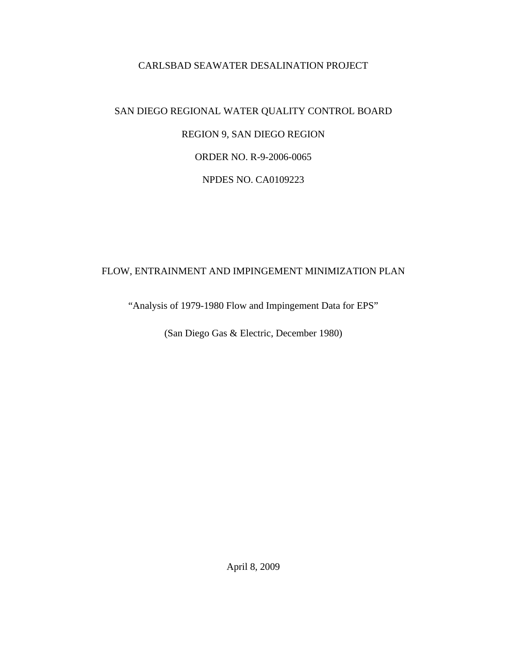#### CARLSBAD SEAWATER DESALINATION PROJECT

# SAN DIEGO REGIONAL WATER QUALITY CONTROL BOARD REGION 9, SAN DIEGO REGION ORDER NO. R-9-2006-0065 NPDES NO. CA0109223

### FLOW, ENTRAINMENT AND IMPINGEMENT MINIMIZATION PLAN

"Analysis of 1979-1980 Flow and Impingement Data for EPS"

(San Diego Gas & Electric, December 1980)

April 8, 2009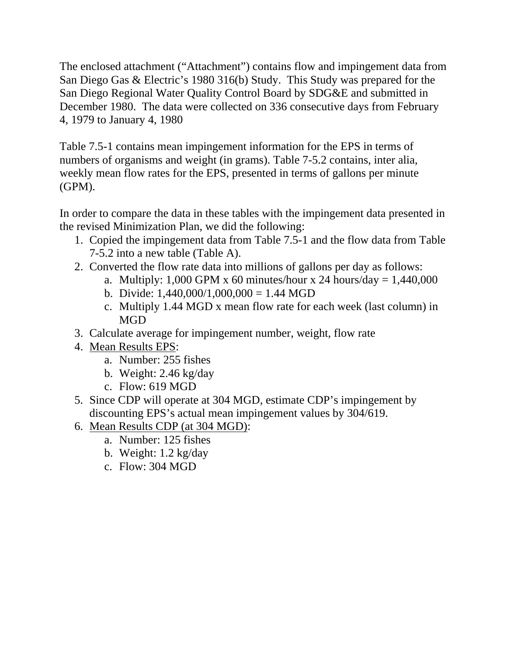The enclosed attachment ("Attachment") contains flow and impingement data from San Diego Gas & Electric's 1980 316(b) Study. This Study was prepared for the San Diego Regional Water Quality Control Board by SDG&E and submitted in December 1980. The data were collected on 336 consecutive days from February 4, 1979 to January 4, 1980

Table 7.5-1 contains mean impingement information for the EPS in terms of numbers of organisms and weight (in grams). Table 7-5.2 contains, inter alia, weekly mean flow rates for the EPS, presented in terms of gallons per minute (GPM).

In order to compare the data in these tables with the impingement data presented in the revised Minimization Plan, we did the following:

- 1. Copied the impingement data from Table 7.5-1 and the flow data from Table 7-5.2 into a new table (Table A).
- 2. Converted the flow rate data into millions of gallons per day as follows:
	- a. Multiply: 1,000 GPM x 60 minutes/hour x 24 hours/day =  $1,440,000$
	- b. Divide:  $1,440,000/1,000,000 = 1.44$  MGD
	- c. Multiply 1.44 MGD x mean flow rate for each week (last column) in MGD
- 3. Calculate average for impingement number, weight, flow rate
- 4. Mean Results EPS:
	- a. Number: 255 fishes
	- b. Weight: 2.46 kg/day
	- c. Flow: 619 MGD
- 5. Since CDP will operate at 304 MGD, estimate CDP's impingement by discounting EPS's actual mean impingement values by 304/619.
- 6. Mean Results CDP (at 304 MGD):
	- a. Number: 125 fishes
	- b. Weight: 1.2 kg/day
	- c. Flow: 304 MGD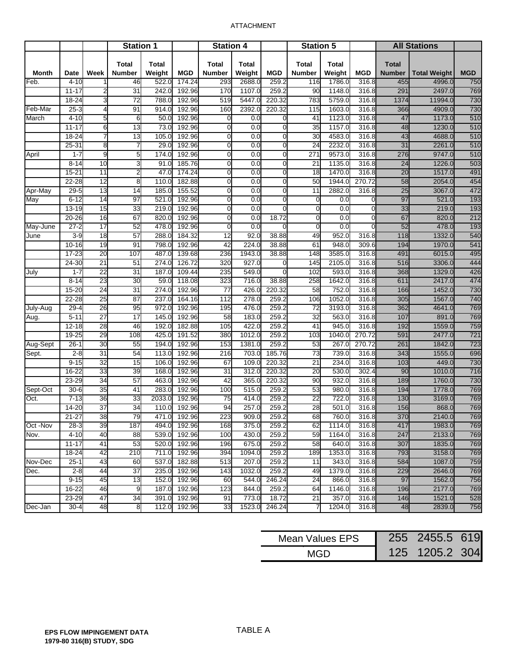#### ATTACHMENT

|              |             |                 | <b>Station 1</b>              |                        |            | <b>Station 4</b>              |                 |                | <b>Station 5</b>              |                  |                | <b>All Stations</b>           |                     |            |
|--------------|-------------|-----------------|-------------------------------|------------------------|------------|-------------------------------|-----------------|----------------|-------------------------------|------------------|----------------|-------------------------------|---------------------|------------|
| <b>Month</b> | <b>Date</b> | Week            | <b>Total</b><br><b>Number</b> | <b>Total</b><br>Weight | <b>MGD</b> | <b>Total</b><br><b>Number</b> | Total<br>Weight | <b>MGD</b>     | <b>Total</b><br><b>Number</b> | Total<br>Weight  | <b>MGD</b>     | <b>Total</b><br><b>Number</b> | <b>Total Weight</b> | <b>MGD</b> |
| Feb.         | $4 - 10$    |                 | 46                            | 522.0                  | 174.24     | 293                           | 2688.0          | 259.2          | 116                           | 1786.0           | 316.8          | 455                           | 4996.0              | 750        |
|              | $11 - 17$   | 2               | $\overline{31}$               | 242.0                  | 192.96     | 170                           | 1107.0          | 259.2          | 90                            | 1148.0           | 316.8          | 291                           | 2497.0              | 769        |
|              | $18 - 24$   | 3               | 72                            | 788.0                  | 192.96     | 519                           | 5447.0          | 220.32         | 783                           | 5759.0           | 316.8          | 1374                          | 11994.0             | 730        |
| Feb-Mar      | $25 - 3$    | 4               | 91                            | 914.0                  | 192.96     | 160                           | 2392.0          | 220.32         | 115                           | 1603.0           | 316.8          | 366                           | 4909.0              | 730        |
| March        | $4 - 10$    | 5               | 6                             | 50.0                   | 192.96     | $\mathbf 0$                   | 0.0             | $\mathbf 0$    | 41                            | 1123.0           | 316.8          | 47                            | 1173.0              | 510        |
|              | $11 - 17$   | 6               | 13                            | 73.0                   | 192.96     | $\overline{0}$                | 0.0             | $\overline{0}$ | 35                            | 1157.0           | 316.8          | 48                            | 1230.0              | 510        |
|              | $18 - 24$   |                 | $\overline{a}$                | 105.0                  | 192.96     | $\overline{0}$                | 0.0             | $\mathbf 0$    | 30                            | 4583.0           | 316.8          | 43                            | 4688.0              | 510        |
|              | 25-31       | 8               | $\overline{7}$                | 29.0                   | 192.96     | $\overline{0}$                | 0.0             | $\mathbf 0$    | 24                            | 2232.0           | 316.8          | 31                            | 2261.0              | 510        |
| April        | $1 - 7$     | g               | 5                             | 174.0                  | 192.96     | $\mathbf 0$                   | 0.0             | $\mathbf 0$    | 271                           | 9573.0           | 316.8          | 276                           | 9747.0              | 510        |
|              | $8 - 14$    | 10              | 3                             | 91.0                   | 185.76     | $\overline{0}$                | 0.0             | $\overline{0}$ | 21                            | 1135.0           | 316.8          | 24                            | 1226.0              | 503        |
|              | $15 - 21$   | 11              | $\overline{c}$                | 47.0                   | 174.24     | $\mathbf 0$                   | 0.0             | $\mathbf 0$    | 18                            | 1470.0           | 316.8          | 20                            | 1517.0              | 491        |
|              | $22 - 28$   | 12              | $\overline{8}$                | 110.0                  | 182.88     | $\mathbf 0$                   | 0.0             | $\mathbf 0$    | 50                            | 1944.0           | 270.72         | 58                            | 2054.0              | 454        |
| Apr-May      | $29 - 5$    | 13              | 14                            | 185.0                  | 155.52     | $\overline{0}$                | 0.0             | $\overline{0}$ | 11                            | 2882.0           | 316.8          | 25                            | 3067.0              | 472        |
| May          | $6 - 12$    | 14              | 97                            | 521.0                  | 192.96     | $\mathbf 0$                   | 0.0             | $\overline{0}$ | $\Omega$                      | $\overline{0.0}$ | $\Omega$       | 97                            | 521.0               | 193        |
|              | $13 - 19$   | 15              | 33                            | 219.0                  | 192.96     | $\mathbf 0$                   | 0.0             | $\mathbf 0$    | $\Omega$                      | 0.0              | 0              | 33                            | 219.0               | 193        |
|              | $20 - 26$   | 16              | 67                            | 820.0                  | 192.96     | $\mathbf 0$                   | 0.0             | 18.72          | $\Omega$                      | 0.0              | $\overline{0}$ | 67                            | 820.0               | 212        |
| May-June     | $27 - 2$    | $\overline{17}$ | 52                            | 478.0                  | 192.96     | $\mathbf 0$                   | 0.0             | $\overline{0}$ | $\Omega$                      | 0.0              | $\Omega$       | 52                            | 478.0               | 193        |
| June         | $3-9$       | 18              | $\overline{57}$               | 288.0                  | 184.32     | 12                            | 92.0            | 38.88          | 49                            | 952.0            | 316.8          | 118                           | 1332.0              | 540        |
|              | $10 - 16$   | 19              | 91                            | 798.0                  | 192.96     | 42                            | 224.0           | 38.88          | 61                            | 948.0            | 309.6          | 194                           | 1970.0              | 541        |
|              | $17 - 23$   | 20              | 107                           | 487.0                  | 139.68     | 236                           | 1943.0          | 38.88          | 148                           | 3585.0           | 316.8          | 491                           | 6015.0              | 495        |
|              | 24-30       | 21              | 51                            | 274.0                  | 126.72     | 320                           | 927.0           | $\mathbf 0$    | 145                           | 2105.0           | 316.8          | 516                           | 3306.0              | 444        |
| July         | $1 - 7$     | $\overline{22}$ | $\overline{31}$               | 187.0                  | 109.44     | 235                           | 549.0           | $\mathbf{0}$   | 102                           | 593.0            | 316.8          | 368                           | 1329.0              | 426        |
|              | $8 - 14$    | 23              | 30                            | 59.0                   | 118.08     | 323                           | 716.0           | 38.88          | 258                           | 1642.0           | 316.8          | 611                           | 2417.0              | 474        |
|              | 15-20       | $\overline{24}$ | $\overline{31}$               | 274.0                  | 192.96     | 77                            | 426.0           | 220.32         | 58                            | 752.0            | 316.8          | 166                           | 1452.0              | 730        |
|              | $22 - 28$   | 25              | $\overline{87}$               | 237.0                  | 164.16     | 112                           | 278.0           | 259.2          | 106                           | 1052.0           | 316.8          | 305                           | 1567.0              | 740        |
| July-Aug     | $29 - 4$    | 26              | 95                            | 972.0                  | 192.96     | 195                           | 476.0           | 259.2          | 72                            | 3193.0           | 316.8          | 362                           | 4641.0              | 769        |
| Aug.         | $5 - 11$    | $\overline{27}$ | $\overline{17}$               | 145.0                  | 192.96     | $\overline{58}$               | 183.0           | 259.2          | 32                            | 563.0            | 316.8          | 107                           | 891.0               | 769        |
|              | $12 - 18$   | 28              | 46                            | 192.0                  | 182.88     | 105                           | 422.0           | 259.2          | 41                            | 945.0            | 316.8          | 192                           | 1559.0              | 759        |
|              | $19 - 25$   | 29              | 108                           | 425.0                  | 191.52     | 380                           | 1012.0          | 259.2          | 103                           | 1040.0           | 270.72         | 591                           | 2477.0              | 721        |
| Aug-Sept     | $26 - 1$    | 30              | 55                            | 194.0                  | 192.96     | 153                           | 1381.0          | 259.2          | 53                            | 267.0            | 270.72         | 261                           | 1842.0              | 723        |
| Sept.        | $2 - 8$     | 31              | 54                            | 113.0                  | 192.96     | 216                           | 703.0           | 185.76         | $\overline{73}$               | 739.0            | 316.8          | 343                           | 1555.0              | 696        |
|              | $9 - 15$    | 32              | 15                            | 106.0                  | 192.96     | 67                            | 109.0           | 220.32         | $\overline{21}$               | 234.0            | 316.8          | 103                           | 449.0               | 730        |
|              | $16 - 22$   | 33              | 39                            | 168.0                  | 192.96     | $\overline{31}$               | 312.0           | 220.32         | 20                            | 530.0            | 302.4          | 90                            | 1010.0              | 716        |
|              | 23-29       | 34              | $\overline{57}$               | 463.0                  | 192.96     | 42                            | 365.0           | 220.32         | 90                            | 932.0            | 316.8          | 189                           | 1760.0              | 730        |
| Sept-Oct     | $30 - 6$    | $\overline{35}$ | 41                            | 283.0                  | 192.96     | 100                           | 515.0           | 259.2          | 53                            | 980.0            | 316.8          | 194                           | 1778.0              | 769        |
| Oct.         | $7 - 13$    | 36              | 33                            | 2033.0                 | 192.96     | 75                            | 414.0           | 259.2          | 22                            | 722.0            | 316.8          | 130                           | 3169.0              | 769        |
|              | 14-20       | 37              | 34                            | 110.0                  | 192.96     | 94                            | 257.0           | 259.2          | 28                            | 501.0            | 316.8          | 156                           | 868.0               | 769        |
|              | $21 - 27$   | 38              | 79                            | 471.0                  | 192.96     | 223                           | 909.0           | 259.2          | 68                            | 760.0            | 316.8          | 370                           | 2140.0              | 769        |
| Oct -Nov     | $28-3$      | 39              | 187                           | 494.0                  | 192.96     | 168                           | 375.0           | 259.2          | 62                            | 1114.0           | 316.8          | 417                           | 1983.0              | 769        |
| Nov.         | $4 - 10$    | 40              | 88                            | 539.0                  | 192.96     | 100                           | 430.0           | 259.2          | 59                            | 1164.0           | 316.8          | 247                           | 2133.0              | 769        |
|              | $11 - 17$   | 41              | 53                            | 520.0                  | 192.96     | 196                           | 675.0           | 259.2          | 58                            | 640.0            | 316.8          | 307                           | 1835.0              | 769        |
|              | 18-24       | 42              | 210                           | 711.0                  | 192.96     | 394                           | 1094.0          | 259.2          | 189                           | 1353.0           | 316.8          | 793                           | 3158.0              | 769        |
| Nov-Dec      | $25 - 1$    | 43              | 60                            | $\frac{1}{537.0}$      | 182.88     | 513                           | 207.0           | 259.2          | 11                            | 343.0            | 316.8          | 584                           | 1087.0              | 759        |
| Dec.         | $2 - 8$     | 44              | 37                            | 235.0                  | 192.96     | 143                           | 1032.0          | 259.2          | 49                            | 1379.0           | 316.8          | 229                           | 2646.0              | 769        |
|              | $9 - 15$    | 45              | 13                            | 152.0                  | 192.96     | 60                            | 544.0           | 246.24         | 24                            | 866.0            | 316.8          | 97                            | 1562.0              | 756<br>769 |
|              | 16-22       | 46              | 9                             | 187.0                  | 192.96     | 123                           | 844.0           | 259.2          | 64                            | 1146.0           | 316.8          | 196                           | 2177.0              | 528        |
|              | 23-29       | 47<br>48        | 34                            | 391.0                  | 192.96     | 91                            | 773.0<br>1523.0 | 18.72          | 21                            | 357.0            | 316.8          | 146                           | 1521.0<br>2839.0    |            |
| Dec-Jan      | $30 - 4$    |                 | 8                             | 112.0                  | 192.96     | 33                            |                 | 246.24         | 7                             | 1204.0           | 316.8          | 48                            |                     | 756        |

| Mean Values EPS | 255 2455.5 619 |  |
|-----------------|----------------|--|
| MGD             | 125 1205.2 304 |  |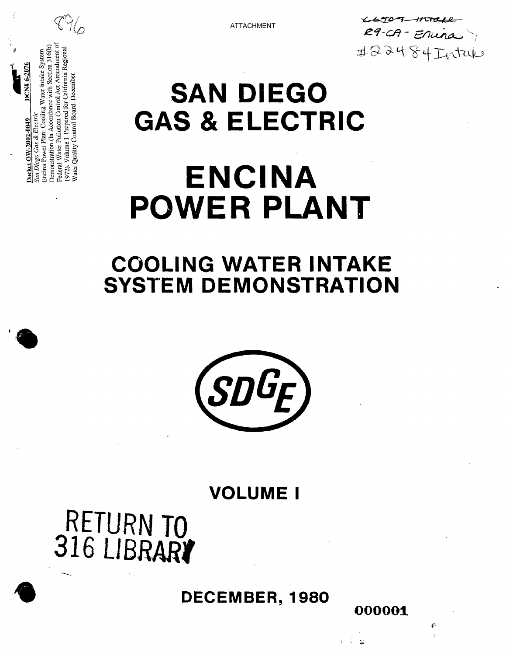

000001

 $\mathcal{M}$ 

爭

# RETURN TO<br>316 LIBRARY





**COOLING WATER INTAKE SYSTEM DEMONSTRATION** 

# **ENCINA POWER PLANT**

# **SAN DIEGO GAS & ELECTRIC**

Water Quality Control Board. December

Demonstration (In Accordance with Section 316(b) 972). Volume I. Prepared for California Regional

Encina Power Plant Cooling Water Intake System Federal Water Pollution Control Act Amendment

san Diego Gas & Electric Docket OW-2002-004

 $7N# 6-207$ 

**ATTACHMENT** 

 $44707 -$ イノビヤセイター R9-CA-Enuna #22484Intake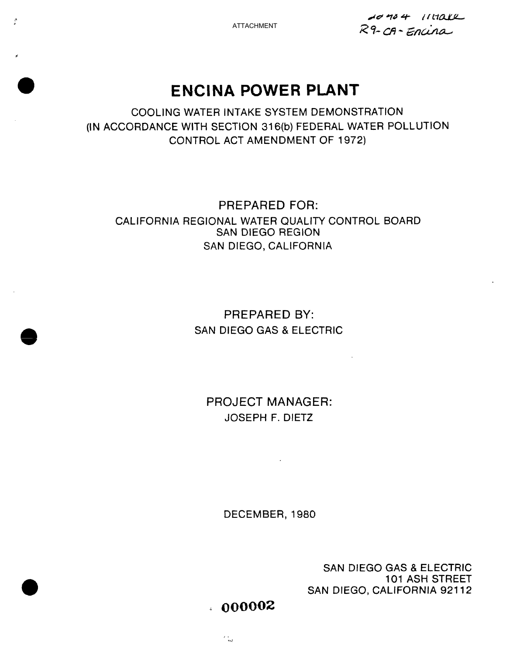$\frac{\mu}{\mu}$ 

 $1040 + 111012$ R9-CA-Encina

# **ENCINA POWER PLANT**

COOLING WATER INTAKE SYSTEM DEMONSTRATION (IN ACCORDANCE WITH SECTION 31**6(b)**FEDERAL WATER POLLUTION CONTROL ACT AMENDMENT OF 1972)

## PREPARED FOR: CALIFORNIA REGIONAL WATER QUALITY CONTROL BOARD SAN DIEGO REGION SAN DIEGO, CALIFORNIA

# PREPARED BY: SAN DIEGO GAS & ELECTRIC

PROJECT MANAGER: JOSEPH F. DIET2

 $\sim$ 

DECEMBER, 1980

SAN DIEGO GAS & ELECTRIC 101 ASH STREET SAN DIEGO, CALIFORNIA 921**12** 

 $. 000002$ 

 $\sim$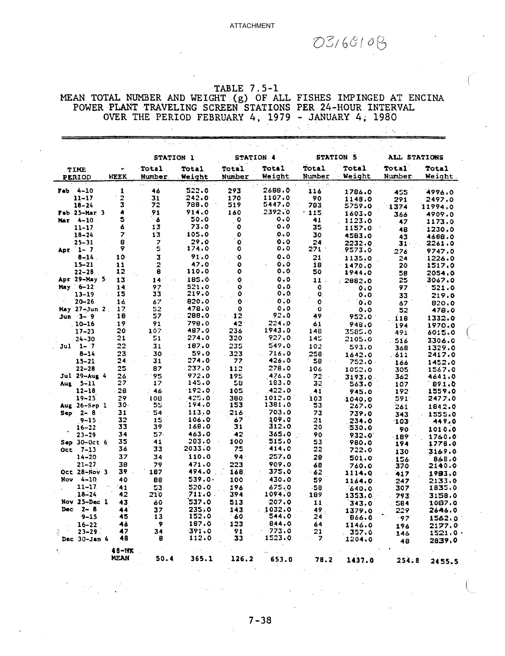$03/68/08$ 

 $\Delta_{\rm g}$ 

# TABLE 7.5-1 MEAN TOTAL NUMBER AND WEIGHT (g) OF ALL FISHES IMPINGED AT ENCINA<br>POWER PLANT TRAVELING SCREEN STATIONS PER 24-HOUR INTERVAL OVER THE PERIOD FEBRUARY 4, 1979 - JANUARY 4, 1980

|                       |  |                          | STATION 1                |                        | STATION 4       |                                 |                        | <b>STATION 5</b> | ALL STATIONS    |                        |
|-----------------------|--|--------------------------|--------------------------|------------------------|-----------------|---------------------------------|------------------------|------------------|-----------------|------------------------|
| TIME<br><b>PERIOD</b> |  | ò.<br>WEEK               | Total<br>Number          | <b>Total</b><br>Weight | Total<br>Number | <b>Total</b><br>Weight          | <b>Total</b><br>Number | Total<br>Weight  | Total<br>Number | <b>Total</b><br>Weight |
| $Peb$ 4-10            |  | $\mathbf{1}$             | $\cdots$<br>46           | 522.0                  | 293             | 2688.0                          | 116                    | 1786.0           |                 |                        |
| $11 - 17$             |  | 2                        | 31                       | 242.0                  | 170             | 1107.0                          | 90                     | 1148.0           | 455             | 4996.0                 |
| $18 - 24$             |  | 3                        | 72                       | 788.0                  | 519             | 5447.0                          | 783                    | 5759.0           | 291<br>1374     | 2497.0                 |
| Feb 25-Mar 3          |  | 4                        | 91                       | 914.0                  | 160             | 2392.0                          | .115                   | 1603.0           |                 | 11994.0                |
| Mar 4-10              |  | 5                        | 6                        | 50.0                   | $\bullet$       | 0.0                             | 41                     | 1123.0           | 366             | 4909.0                 |
| $11 - 17$             |  | 6                        | 13                       | 73.0                   | $\bullet$       | 0.0                             | 35                     | 1157.0           | 47              | 1173.0                 |
| $18 - 24$             |  | $\overline{\phantom{a}}$ | 13                       | 105.0                  | $\bullet$       | 0.0                             | 30                     | 4583.0           | 48              | 1230.0                 |
| $25 - 31$             |  | 8                        | $\overline{\phantom{a}}$ | 29.0                   | o               | 0.0                             | 24                     | 2232.0           | 43<br>31-       | 4688.0<br>2261.0       |
| Apr $1 - 7$           |  | 9                        | 5                        | 174.0                  | ٥               | $\mathbf{0}$ . 0                | 271                    | 9573.0           |                 |                        |
| $8 - 14$              |  | 10                       | $\overline{\mathbf{3}}$  | 91.0                   | Ō.              | 0.0                             | 21                     | 1135.0           | 276<br>24       | 9747.0                 |
| $15 - 21$             |  | 11                       | $\overline{2}$           | 47.0                   | ٥               | 0.0                             | 18                     | 1470.0           | 20              | 1226.0<br>1517.0       |
| $22 - 28$             |  | 12                       | 8                        | 110.0                  | ۰               | 0.0                             | 50                     | 1944.0           |                 | 2054.0                 |
| Apr 29-May 5          |  | 13                       | 14                       | 185.0                  | $\mathbf o$     | 0.0                             | 11.                    |                  | 58<br>25        | 3067.0                 |
| May 6-12              |  | 14                       | 97                       | 521.0                  | $\mathbf{o}$    | 0.0                             | o                      | 2882.0           |                 |                        |
| $13 - 19$             |  | 15                       | 33                       | 219.0                  | $\mathbf o$     | 0.0                             | 0.                     | 0.0              | 97              | 521.0                  |
| $20 - 26$             |  | 16                       | 67                       | 820.0                  | Ō               | 0.0                             | Ó                      | 0.0              | 33              | 219.0                  |
| $May 27 - Jun 2.$     |  | 17                       | 52                       | 478.0                  | $\mathbf{o}$    | $\mathfrak{o}$ . $\mathfrak{o}$ | $\mathbf{o}$           | 0.0              | 67              | 820.0                  |
| $Jun 3-9$             |  | 18                       | 57                       | 288.0                  | 12              | 92.0                            | 49                     | 0.0              | 52              | 478.0                  |
| $10 - 16$             |  | 19                       | 91                       | 798.0                  | 42              | 224.0                           | 61                     | 952.0            | <b>118</b>      | 1332.0                 |
| $17 - 23$             |  | 20                       | 107                      | 487.0                  | 236             | 1943.0                          | 148                    | 948.0            | 194             | 1970.0                 |
|                       |  | 21                       | 51                       | 274.0                  | 320             | 927.0                           |                        | 3585.0           | 491             | 6015.0                 |
| 24-30                 |  | 22                       | 31                       | 187.0                  |                 | 547.0                           | 145                    | 2105.0           | 516             | 3306.0                 |
| Jul 1-7               |  |                          |                          | 59.0                   | 235             | 716.0                           | 102                    | 593.0            | 368             | 1329.0                 |
| $8 - 14$              |  | 23<br>24                 | 30                       |                        | .323            | a in<br>426.0                   | $258 -$                | 1642.0           | . 611           | 2417.0                 |
| $15 - 21$             |  |                          | 31                       | 274.0                  | 77              |                                 | 58 <sub>1</sub>        | 752.0.           | 166             | 1452.0                 |
| $22 - 28$             |  | 25                       | 87                       | 237.0                  | 112             | 278.0                           | 106                    | 1052.0           | 305             | 1567.0                 |
| Jul 29-Aug 4          |  | 26                       | '95                      | 972.0                  | 195             | 476.0                           | 72                     | 3193.0           | 362             | 4641.0                 |
| Aug 5-11              |  | 27                       | 17                       | 145.0                  | 58              | 183.0                           | 32                     | 563.0            | 107             | 891.0                  |
| $12 - 18$             |  | 28                       | $-46$                    | 192.0                  | 105             | 422.0                           | 41                     | 945.0            | 192             | 1559.0                 |
| $19 - 25$             |  | 29                       | 108                      | 425.0                  | 380.            | 1012.0                          | 103                    | 1040.0           | 591             | 2477.0                 |
| Aug 26-Sep 1          |  | 30.                      | 55                       | 194.0                  | 153             | 1381,0                          | 53                     | 267.0            | 261             | 1842.0                 |
| Sep 2-8               |  | 31                       | 54                       | 113.0                  | $216 -$         | 703.0                           | 73                     | 739.0            | 343             | 1555.0                 |
| $9 - 15$              |  | 32                       | 15                       | 106.0                  | 67              | 109.0                           | 21 <sub>2</sub>        | 234.0            | -103            | 449.0                  |
| $16 - 22$             |  | 33                       | 39                       | 168.0                  | 31              | 312.0                           | 20                     | 530.0            | 90              | 1010.0                 |
| $23 - 29$             |  | 34                       | 57.                      | 463.0                  | 42              | 365.0                           | 90                     | 932.0            | $-189$          | 1760.0                 |
| Sap $30-0$ ct $6$     |  | 35                       | 41                       | 283.0                  | 100             | 515.0                           | 53                     | 980.0            | 194             | 1778.0                 |
| $Oct$ $7-13$          |  | 36                       | 33                       | 2033.0                 | 75              | 414.C                           | 22                     | 722.0            | 130             | 3169.0                 |
| $14 - 20$             |  | 37                       | 34                       | 110.0                  | 94.             | 257.0                           | 28                     | 501.0            | 156             | 868.0                  |
| $21 - 27$             |  | 38                       | 79                       | 471.0                  | 223             | 909.0                           | 68                     | 760.0            | 370             | 2140.0                 |
| Oct 28-Nov 3          |  | 39                       | 187                      | 494.0                  | 168.            | 375.0                           | $-62$                  | 1114.0           | 417             | 1983.0                 |
| Nov 4-10              |  | 40                       | 88                       | 539.0.                 | 1.00            | 430.0                           | 59                     | 1164.0           | 247             | 2133.0                 |
| $11 - 17$             |  | '41                      | 53                       | 520.0                  | 196             | 675.0                           | -58                    | 640.0            | 307             | 1835.0                 |
| $18 - 24$             |  | 42                       | 210                      | 711.0                  | 394             | 1094.0                          | 189                    | 1353.0           | 793             | 3158.0                 |
| Nov 25-Dec 1          |  | 43                       | 60                       | 537.0                  | 513             | 207.0                           | 11                     | 343.0            | 584             | 1087.0                 |
| Dec $2-8$             |  | 44                       | 37                       | 235.0                  | 143             | 1032.0                          | 49                     | 1379.0           | 229             | 2646.0                 |
| $9 - 15$              |  | 45                       | 13                       | 152.0                  | 60              | 544.0                           | 24                     | 866.0            | $-97$           | 1562.0                 |
| $16 - 22$             |  | 46                       | 9                        | 187.0                  | 123             | 844.0                           | 64                     | 1146.0           | 196             | 2177.0                 |
| $23 - 29$<br>4        |  | 47                       | 34                       | 391.0                  | 91              | 773.0                           | 21                     | 357.0            | 146             | 1521.0                 |
| Dec 30-Jan 4          |  | 48                       | B                        | 112.0                  | 33              | 1523.0                          | 7                      | 1204.0           | 48              | 2839,0                 |
|                       |  | $48 - 17$                |                          |                        |                 |                                 |                        |                  |                 |                        |
|                       |  | MEAN                     | 50.4                     | 365.1                  | 126.2           | 653.0                           | 78.2                   | 1437.0           | 254.8           | 2455.5                 |

 $7 - 38$